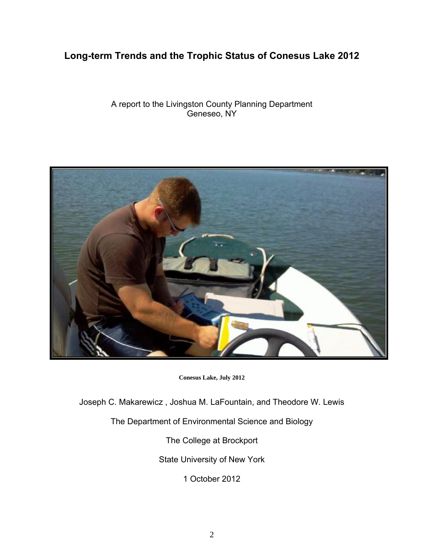# **Long-term Trends and the Trophic Status of Conesus Lake 2012**

### A report to the Livingston County Planning Department Geneseo, NY



**Conesus Lake, July 2012** 

Joseph C. Makarewicz , Joshua M. LaFountain, and Theodore W. Lewis

The Department of Environmental Science and Biology

The College at Brockport

State University of New York

1 October 2012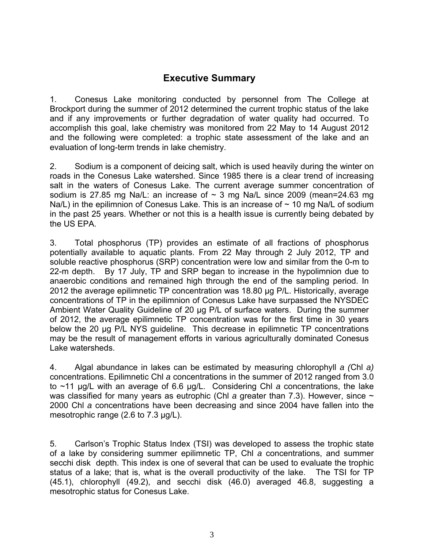# **Executive Summary**

1. Conesus Lake monitoring conducted by personnel from The College at Brockport during the summer of 2012 determined the current trophic status of the lake and if any improvements or further degradation of water quality had occurred. To accomplish this goal, lake chemistry was monitored from 22 May to 14 August 2012 and the following were completed: a trophic state assessment of the lake and an evaluation of long-term trends in lake chemistry.

2. Sodium is a component of deicing salt, which is used heavily during the winter on roads in the Conesus Lake watershed. Since 1985 there is a clear trend of increasing salt in the waters of Conesus Lake. The current average summer concentration of sodium is 27.85 mg Na/L: an increase of  $\sim$  3 mg Na/L since 2009 (mean=24.63 mg Na/L) in the epilimnion of Conesus Lake. This is an increase of  $\sim$  10 mg Na/L of sodium in the past 25 years. Whether or not this is a health issue is currently being debated by the US EPA.

3. Total phosphorus (TP) provides an estimate of all fractions of phosphorus potentially available to aquatic plants. From 22 May through 2 July 2012, TP and soluble reactive phosphorus (SRP) concentration were low and similar from the 0-m to 22-m depth. By 17 July, TP and SRP began to increase in the hypolimnion due to anaerobic conditions and remained high through the end of the sampling period. In 2012 the average epilimnetic TP concentration was 18.80 μg P/L. Historically, average concentrations of TP in the epilimnion of Conesus Lake have surpassed the NYSDEC Ambient Water Quality Guideline of 20 μg P/L of surface waters. During the summer of 2012, the average epilimnetic TP concentration was for the first time in 30 years below the 20 μg P/L NYS guideline. This decrease in epilimnetic TP concentrations may be the result of management efforts in various agriculturally dominated Conesus Lake watersheds.

4. Algal abundance in lakes can be estimated by measuring chlorophyll *a (*Chl *a)*  concentrations. Epilimnetic Chl *a* concentrations in the summer of 2012 ranged from 3.0 to ~11 μg/L with an average of 6.6 μg/L. Considering Chl *a* concentrations, the lake was classified for many years as eutrophic (Chl *a* greater than 7.3). However, since  $\sim$ 2000 Chl *a* concentrations have been decreasing and since 2004 have fallen into the mesotrophic range (2.6 to 7.3 μg/L).

5. Carlson's Trophic Status Index (TSI) was developed to assess the trophic state of a lake by considering summer epilimnetic TP, Chl *a* concentrations, and summer secchi disk depth. This index is one of several that can be used to evaluate the trophic status of a lake; that is, what is the overall productivity of the lake. The TSI for TP (45.1), chlorophyll (49.2), and secchi disk (46.0) averaged 46.8, suggesting a mesotrophic status for Conesus Lake.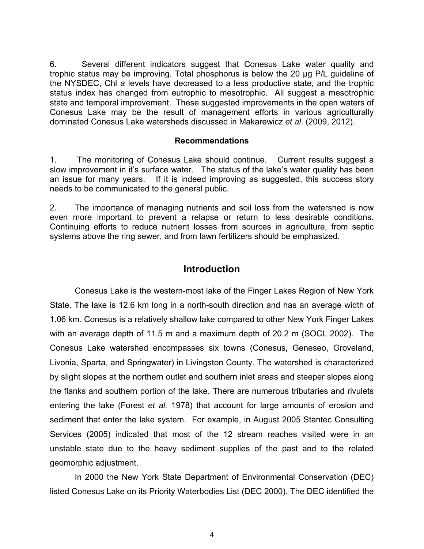6. Several different indicators suggest that Conesus Lake water quality and trophic status may be improving. Total phosphorus is below the 20 μg P/L guideline of the NYSDEC, Chl *a* levels have decreased to a less productive state, and the trophic status index has changed from eutrophic to mesotrophic. All suggest a mesotrophic state and temporal improvement. These suggested improvements in the open waters of Conesus Lake may be the result of management efforts in various agriculturally dominated Conesus Lake watersheds discussed in Makarewicz *et al*. (2009, 2012).

### **Recommendations**

1. The monitoring of Conesus Lake should continue. Current results suggest a slow improvement in it's surface water. The status of the lake's water quality has been an issue for many years. If it is indeed improving as suggested, this success story needs to be communicated to the general public.

2. The importance of managing nutrients and soil loss from the watershed is now even more important to prevent a relapse or return to less desirable conditions. Continuing efforts to reduce nutrient losses from sources in agriculture, from septic systems above the ring sewer, and from lawn fertilizers should be emphasized.

## **Introduction**

Conesus Lake is the western-most lake of the Finger Lakes Region of New York State. The lake is 12.6 km long in a north-south direction and has an average width of 1.06 km. Conesus is a relatively shallow lake compared to other New York Finger Lakes with an average depth of 11.5 m and a maximum depth of 20.2 m (SOCL 2002). The Conesus Lake watershed encompasses six towns (Conesus, Geneseo, Groveland, Livonia, Sparta, and Springwater) in Livingston County. The watershed is characterized by slight slopes at the northern outlet and southern inlet areas and steeper slopes along the flanks and southern portion of the lake. There are numerous tributaries and rivulets entering the lake (Forest *et al.* 1978) that account for large amounts of erosion and sediment that enter the lake system. For example, in August 2005 Stantec Consulting Services (2005) indicated that most of the 12 stream reaches visited were in an unstable state due to the heavy sediment supplies of the past and to the related geomorphic adjustment.

In 2000 the New York State Department of Environmental Conservation (DEC) listed Conesus Lake on its Priority Waterbodies List (DEC 2000). The DEC identified the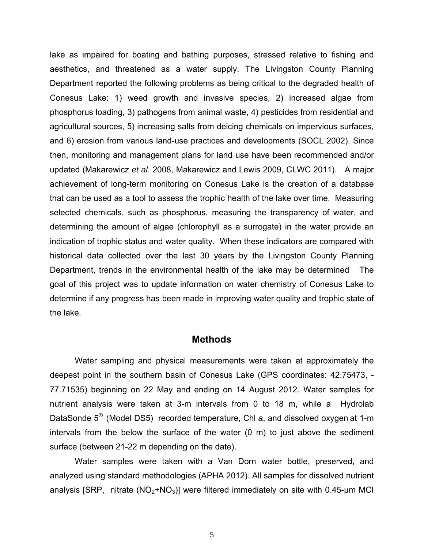lake as impaired for boating and bathing purposes, stressed relative to fishing and aesthetics, and threatened as a water supply. The Livingston County Planning Department reported the following problems as being critical to the degraded health of Conesus Lake: 1) weed growth and invasive species, 2) increased algae from phosphorus loading, 3) pathogens from animal waste, 4) pesticides from residential and agricultural sources, 5) increasing salts from deicing chemicals on impervious surfaces, and 6) erosion from various land-use practices and developments (SOCL 2002). Since then, monitoring and management plans for land use have been recommended and/or updated (Makarewicz *et al*. 2008, Makarewicz and Lewis 2009, CLWC 2011). A major achievement of long-term monitoring on Conesus Lake is the creation of a database that can be used as a tool to assess the trophic health of the lake over time. Measuring selected chemicals, such as phosphorus, measuring the transparency of water, and determining the amount of algae (chlorophyll as a surrogate) in the water provide an indication of trophic status and water quality. When these indicators are compared with historical data collected over the last 30 years by the Livingston County Planning Department, trends in the environmental health of the lake may be determined The goal of this project was to update information on water chemistry of Conesus Lake to determine if any progress has been made in improving water quality and trophic state of the lake.

### **Methods**

Water sampling and physical measurements were taken at approximately the deepest point in the southern basin of Conesus Lake (GPS coordinates: 42.75473, - 77.71535) beginning on 22 May and ending on 14 August 2012. Water samples for nutrient analysis were taken at 3-m intervals from 0 to 18 m, while a Hydrolab DataSonde 5® (Model DS5) recorded temperature, Chl *a*, and dissolved oxygen at 1-m intervals from the below the surface of the water (0 m) to just above the sediment surface (between 21-22 m depending on the date).

 Water samples were taken with a Van Dorn water bottle, preserved, and analyzed using standard methodologies (APHA 2012). All samples for dissolved nutrient analysis [SRP, nitrate  $(NO<sub>2</sub>+NO<sub>3</sub>)$ ] were filtered immediately on site with 0.45-um MCI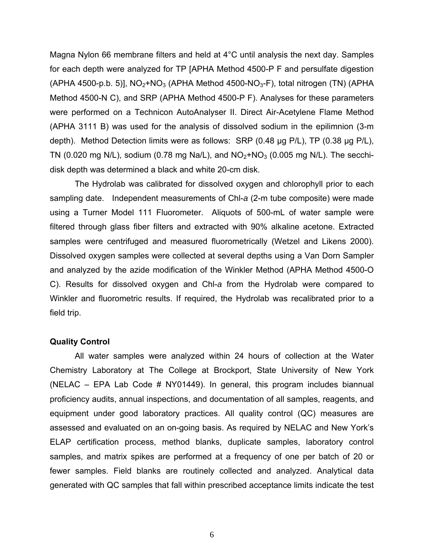Magna Nylon 66 membrane filters and held at 4°C until analysis the next day. Samples for each depth were analyzed for TP [APHA Method 4500-P F and persulfate digestion (APHA 4500-p.b. 5)],  $NO<sub>2</sub>+NO<sub>3</sub>$  (APHA Method 4500-NO<sub>3</sub>-F), total nitrogen (TN) (APHA Method 4500-N C), and SRP (APHA Method 4500-P F). Analyses for these parameters were performed on a Technicon AutoAnalyser II. Direct Air-Acetylene Flame Method (APHA 3111 B) was used for the analysis of dissolved sodium in the epilimnion (3-m depth). Method Detection limits were as follows: SRP (0.48 µg P/L), TP (0.38 µg P/L), TN (0.020 mg N/L), sodium (0.78 mg Na/L), and  $NO<sub>2</sub>+NO<sub>3</sub>$  (0.005 mg N/L). The secchidisk depth was determined a black and white 20-cm disk.

The Hydrolab was calibrated for dissolved oxygen and chlorophyll prior to each sampling date. Independent measurements of Chl-*a* (2-m tube composite) were made using a Turner Model 111 Fluorometer. Aliquots of 500-mL of water sample were filtered through glass fiber filters and extracted with 90% alkaline acetone. Extracted samples were centrifuged and measured fluorometrically (Wetzel and Likens 2000). Dissolved oxygen samples were collected at several depths using a Van Dorn Sampler and analyzed by the azide modification of the Winkler Method (APHA Method 4500-O C). Results for dissolved oxygen and Chl-*a* from the Hydrolab were compared to Winkler and fluorometric results. If required, the Hydrolab was recalibrated prior to a field trip.

#### **Quality Control**

 All water samples were analyzed within 24 hours of collection at the Water Chemistry Laboratory at The College at Brockport, State University of New York (NELAC – EPA Lab Code # NY01449). In general, this program includes biannual proficiency audits, annual inspections, and documentation of all samples, reagents, and equipment under good laboratory practices. All quality control (QC) measures are assessed and evaluated on an on-going basis. As required by NELAC and New York's ELAP certification process, method blanks, duplicate samples, laboratory control samples, and matrix spikes are performed at a frequency of one per batch of 20 or fewer samples. Field blanks are routinely collected and analyzed. Analytical data generated with QC samples that fall within prescribed acceptance limits indicate the test

6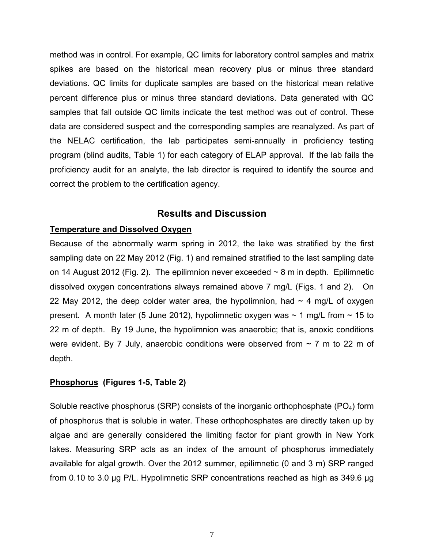method was in control. For example, QC limits for laboratory control samples and matrix spikes are based on the historical mean recovery plus or minus three standard deviations. QC limits for duplicate samples are based on the historical mean relative percent difference plus or minus three standard deviations. Data generated with QC samples that fall outside QC limits indicate the test method was out of control. These data are considered suspect and the corresponding samples are reanalyzed. As part of the NELAC certification, the lab participates semi-annually in proficiency testing program (blind audits, Table 1) for each category of ELAP approval. If the lab fails the proficiency audit for an analyte, the lab director is required to identify the source and correct the problem to the certification agency.

# **Results and Discussion**

### **Temperature and Dissolved Oxygen**

Because of the abnormally warm spring in 2012, the lake was stratified by the first sampling date on 22 May 2012 (Fig. 1) and remained stratified to the last sampling date on 14 August 2012 (Fig. 2). The epilimnion never exceeded  $\sim$  8 m in depth. Epilimnetic dissolved oxygen concentrations always remained above 7 mg/L (Figs. 1 and 2). On 22 May 2012, the deep colder water area, the hypolimnion, had  $\sim$  4 mg/L of oxygen present. A month later (5 June 2012), hypolimnetic oxygen was  $\sim$  1 mg/L from  $\sim$  15 to 22 m of depth. By 19 June, the hypolimnion was anaerobic; that is, anoxic conditions were evident. By 7 July, anaerobic conditions were observed from  $\sim$  7 m to 22 m of depth.

### **Phosphorus (Figures 1-5, Table 2)**

Soluble reactive phosphorus (SRP) consists of the inorganic orthophosphate ( $PO<sub>4</sub>$ ) form of phosphorus that is soluble in water. These orthophosphates are directly taken up by algae and are generally considered the limiting factor for plant growth in New York lakes. Measuring SRP acts as an index of the amount of phosphorus immediately available for algal growth. Over the 2012 summer, epilimnetic (0 and 3 m) SRP ranged from 0.10 to 3.0 μg P/L. Hypolimnetic SRP concentrations reached as high as 349.6 μg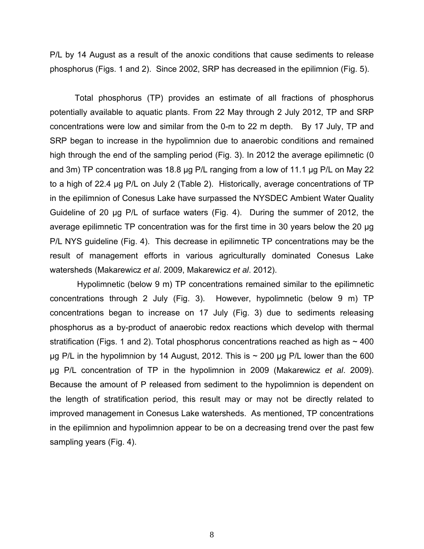P/L by 14 August as a result of the anoxic conditions that cause sediments to release phosphorus (Figs. 1 and 2). Since 2002, SRP has decreased in the epilimnion (Fig. 5).

Total phosphorus (TP) provides an estimate of all fractions of phosphorus potentially available to aquatic plants. From 22 May through 2 July 2012, TP and SRP concentrations were low and similar from the 0-m to 22 m depth. By 17 July, TP and SRP began to increase in the hypolimnion due to anaerobic conditions and remained high through the end of the sampling period (Fig. 3). In 2012 the average epilimnetic (0 and 3m) TP concentration was 18.8 μg P/L ranging from a low of 11.1 μg P/L on May 22 to a high of 22.4 μg P/L on July 2 (Table 2). Historically, average concentrations of TP in the epilimnion of Conesus Lake have surpassed the NYSDEC Ambient Water Quality Guideline of 20 μg P/L of surface waters (Fig. 4). During the summer of 2012, the average epilimnetic TP concentration was for the first time in 30 years below the 20 μg P/L NYS guideline (Fig. 4). This decrease in epilimnetic TP concentrations may be the result of management efforts in various agriculturally dominated Conesus Lake watersheds (Makarewicz *et al*. 2009, Makarewicz *et al*. 2012).

 Hypolimnetic (below 9 m) TP concentrations remained similar to the epilimnetic concentrations through 2 July (Fig. 3). However, hypolimnetic (below 9 m) TP concentrations began to increase on 17 July (Fig. 3) due to sediments releasing phosphorus as a by-product of anaerobic redox reactions which develop with thermal stratification (Figs. 1 and 2). Total phosphorus concentrations reached as high as  $\sim$  400 μg P/L in the hypolimnion by 14 August, 2012. This is  $\sim$  200 μg P/L lower than the 600 μg P/L concentration of TP in the hypolimnion in 2009 (Makarewicz *et al*. 2009). Because the amount of P released from sediment to the hypolimnion is dependent on the length of stratification period, this result may or may not be directly related to improved management in Conesus Lake watersheds. As mentioned, TP concentrations in the epilimnion and hypolimnion appear to be on a decreasing trend over the past few sampling years (Fig. 4).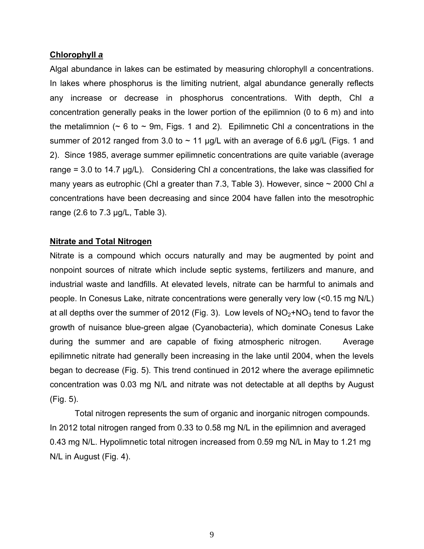### **Chlorophyll** *a*

Algal abundance in lakes can be estimated by measuring chlorophyll *a* concentrations. In lakes where phosphorus is the limiting nutrient, algal abundance generally reflects any increase or decrease in phosphorus concentrations. With depth, Chl *a* concentration generally peaks in the lower portion of the epilimnion (0 to 6 m) and into the metalimnion (~ 6 to ~ 9m, Figs. 1 and 2). Epilimnetic Chl *a* concentrations in the summer of 2012 ranged from 3.0 to  $\sim$  11 µg/L with an average of 6.6 µg/L (Figs. 1 and 2). Since 1985, average summer epilimnetic concentrations are quite variable (average range = 3.0 to 14.7 μg/L). Considering Chl *a* concentrations, the lake was classified for many years as eutrophic (Chl a greater than 7.3, Table 3). However, since ~ 2000 Chl *a*  concentrations have been decreasing and since 2004 have fallen into the mesotrophic range (2.6 to 7.3 μg/L, Table 3).

### **Nitrate and Total Nitrogen**

Nitrate is a compound which occurs naturally and may be augmented by point and nonpoint sources of nitrate which include septic systems, fertilizers and manure, and industrial waste and landfills. At elevated levels, nitrate can be harmful to animals and people. In Conesus Lake, nitrate concentrations were generally very low (<0.15 mg N/L) at all depths over the summer of 2012 (Fig. 3). Low levels of  $NO<sub>2</sub>+NO<sub>3</sub>$  tend to favor the growth of nuisance blue-green algae (Cyanobacteria), which dominate Conesus Lake during the summer and are capable of fixing atmospheric nitrogen. Average epilimnetic nitrate had generally been increasing in the lake until 2004, when the levels began to decrease (Fig. 5). This trend continued in 2012 where the average epilimnetic concentration was 0.03 mg N/L and nitrate was not detectable at all depths by August (Fig. 5).

 Total nitrogen represents the sum of organic and inorganic nitrogen compounds. In 2012 total nitrogen ranged from 0.33 to 0.58 mg N/L in the epilimnion and averaged 0.43 mg N/L. Hypolimnetic total nitrogen increased from 0.59 mg N/L in May to 1.21 mg N/L in August (Fig. 4).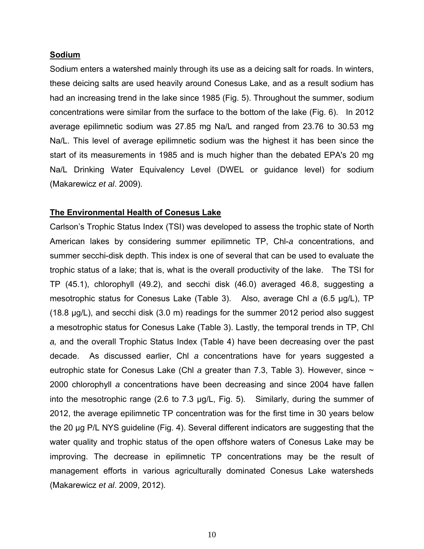#### **Sodium**

Sodium enters a watershed mainly through its use as a deicing salt for roads. In winters, these deicing salts are used heavily around Conesus Lake, and as a result sodium has had an increasing trend in the lake since 1985 (Fig. 5). Throughout the summer, sodium concentrations were similar from the surface to the bottom of the lake (Fig. 6). In 2012 average epilimnetic sodium was 27.85 mg Na/L and ranged from 23.76 to 30.53 mg Na/L. This level of average epilimnetic sodium was the highest it has been since the start of its measurements in 1985 and is much higher than the debated EPA's 20 mg Na/L Drinking Water Equivalency Level (DWEL or guidance level) for sodium (Makarewicz *et al*. 2009).

### **The Environmental Health of Conesus Lake**

Carlson's Trophic Status Index (TSI) was developed to assess the trophic state of North American lakes by considering summer epilimnetic TP, Chl-*a* concentrations, and summer secchi-disk depth. This index is one of several that can be used to evaluate the trophic status of a lake; that is, what is the overall productivity of the lake. The TSI for TP (45.1), chlorophyll (49.2), and secchi disk (46.0) averaged 46.8, suggesting a mesotrophic status for Conesus Lake (Table 3). Also, average Chl *a* (6.5 μg/L), TP (18.8 μg/L), and secchi disk (3.0 m) readings for the summer 2012 period also suggest a mesotrophic status for Conesus Lake (Table 3). Lastly, the temporal trends in TP, Chl *a,* and the overall Trophic Status Index (Table 4) have been decreasing over the past decade. As discussed earlier, Chl *a* concentrations have for years suggested a eutrophic state for Conesus Lake (Chl *a* greater than 7.3, Table 3). However, since  $\sim$ 2000 chlorophyll *a* concentrations have been decreasing and since 2004 have fallen into the mesotrophic range (2.6 to 7.3 μg/L, Fig. 5). Similarly, during the summer of 2012, the average epilimnetic TP concentration was for the first time in 30 years below the 20 μg P/L NYS guideline (Fig. 4). Several different indicators are suggesting that the water quality and trophic status of the open offshore waters of Conesus Lake may be improving. The decrease in epilimnetic TP concentrations may be the result of management efforts in various agriculturally dominated Conesus Lake watersheds (Makarewicz *et al*. 2009, 2012).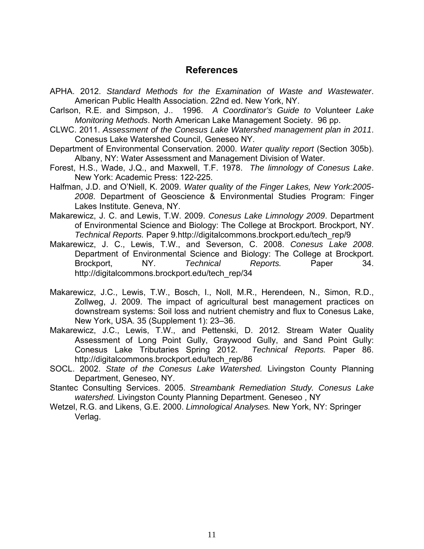# **References**

- APHA. 2012. *Standard Methods for the Examination of Waste and Wastewater*. American Public Health Association. 22nd ed. New York, NY.
- Carlson, R.E. and Simpson, J.. 1996. *A Coordinator's Guide to* Volunteer *Lake Monitoring Methods*. North American Lake Management Society. 96 pp.
- CLWC. 2011. *Assessment of the Conesus Lake Watershed management plan in 2011*. Conesus Lake Watershed Council, Geneseo NY.
- Department of Environmental Conservation. 2000. *Water quality report* (Section 305b). Albany, NY: Water Assessment and Management Division of Water.
- Forest, H.S., Wade, J.Q., and Maxwell, T.F. 1978. *The limnology of Conesus Lake*. New York: Academic Press: 122-225.
- Halfman, J.D. and O'Niell, K. 2009. *Water quality of the Finger Lakes, New York:2005- 2008*. Department of Geoscience & Environmental Studies Program: Finger Lakes Institute. Geneva, NY.
- Makarewicz, J. C. and Lewis, T.W. 2009. *Conesus Lake Limnology 2009*. Department of Environmental Science and Biology: The College at Brockport. Brockport, NY. *Technical Reports.* Paper 9.http://digitalcommons.brockport.edu/tech\_rep/9
- Makarewicz, J. C., Lewis, T.W., and Severson, C. 2008. *Conesus Lake 2008*. Department of Environmental Science and Biology: The College at Brockport. Brockport, NY. *Technical Reports.* Paper 34. http://digitalcommons.brockport.edu/tech\_rep/34
- Makarewicz, J.C., Lewis, T.W., Bosch, I., Noll, M.R., Herendeen, N., Simon, R.D., Zollweg, J. 2009. The impact of agricultural best management practices on downstream systems: Soil loss and nutrient chemistry and flux to Conesus Lake, New York, USA. 35 (Supplement 1): 23–36.
- Makarewicz, J.C., Lewis, T.W., and Pettenski, D. 2012. Stream Water Quality Assessment of Long Point Gully, Graywood Gully, and Sand Point Gully: Conesus Lake Tributaries Spring 2012. *Technical Reports.* Paper 86. http://digitalcommons.brockport.edu/tech\_rep/86
- SOCL. 2002. *State of the Conesus Lake Watershed.* Livingston County Planning Department, Geneseo, NY.
- Stantec Consulting Services. 2005. *Streambank Remediation Study. Conesus Lake watershed.* Livingston County Planning Department. Geneseo , NY
- Wetzel, R.G. and Likens, G.E. 2000. *Limnological Analyses.* New York, NY: Springer Verlag.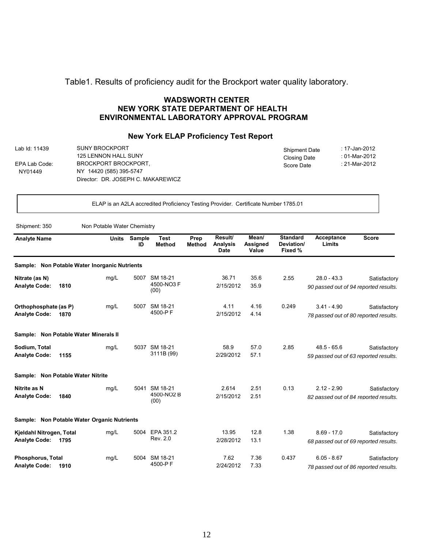### Table1. Results of proficiency audit for the Brockport water quality laboratory.

#### **WADSWORTH CENTER NEW YORK STATE DEPARTMENT OF HEALTH ENVIRONMENTAL LABORATORY APPROVAL PROGRAM**

#### **New York ELAP Proficiency Test Report**

Lab Id: 11439 EPA Lab Code: NY01449 SUNY BROCKPORT 125 LENNON HALL SUNY BROCKPORT BROCKPORT, NY 14420 (585) 395-5747 Director: DR. JOSEPH C. MAKAREWICZ Shipment Date Closing Date Score Date : 17-Jan-2012 : 01-Mar-2012 : 21-Mar-2012

ELAP is an A2LA accredited Proficiency Testing Provider. Certificate Number 1785.01

Shipment: 350 Non Potable Water Chemistry

| <b>Analyte Name</b>                              |                                               | <b>Units</b> | <b>Sample</b><br>ID | <b>Test</b><br><b>Method</b>   | Prep<br><b>Method</b> | Result/<br><b>Analysis</b><br><b>Date</b> | Mean/<br>Assigned<br>Value | <b>Standard</b><br>Deviation/<br>Fixed % | Acceptance<br>Limits                                   | <b>Score</b> |
|--------------------------------------------------|-----------------------------------------------|--------------|---------------------|--------------------------------|-----------------------|-------------------------------------------|----------------------------|------------------------------------------|--------------------------------------------------------|--------------|
|                                                  | Sample: Non Potable Water Inorganic Nutrients |              |                     |                                |                       |                                           |                            |                                          |                                                        |              |
| Nitrate (as N)<br><b>Analyte Code:</b>           | 1810                                          | mg/L         | 5007                | SM 18-21<br>4500-NO3 F<br>(00) |                       | 36.71<br>2/15/2012                        | 35.6<br>35.9               | 2.55                                     | $28.0 - 43.3$<br>90 passed out of 94 reported results. | Satisfactory |
| Orthophosphate (as P)<br><b>Analyte Code:</b>    | 1870                                          | mg/L         | 5007                | SM 18-21<br>4500-PF            |                       | 4.11<br>2/15/2012                         | 4.16<br>4.14               | 0.249                                    | $3.41 - 4.90$<br>78 passed out of 80 reported results. | Satisfactory |
|                                                  | Sample: Non Potable Water Minerals II         |              |                     |                                |                       |                                           |                            |                                          |                                                        |              |
| Sodium, Total<br><b>Analyte Code:</b>            | 1155                                          | mg/L         | 5037                | SM 18-21<br>3111B (99)         |                       | 58.9<br>2/29/2012                         | 57.0<br>57.1               | 2.85                                     | $48.5 - 65.6$<br>59 passed out of 63 reported results. | Satisfactory |
|                                                  | Sample: Non Potable Water Nitrite             |              |                     |                                |                       |                                           |                            |                                          |                                                        |              |
| Nitrite as N<br><b>Analyte Code:</b>             | 1840                                          | mg/L         | 5041                | SM 18-21<br>4500-NO2 B<br>(00) |                       | 2.614<br>2/15/2012                        | 2.51<br>2.51               | 0.13                                     | $2.12 - 2.90$<br>82 passed out of 84 reported results. | Satisfactory |
|                                                  | Sample: Non Potable Water Organic Nutrients   |              |                     |                                |                       |                                           |                            |                                          |                                                        |              |
| Kjeldahl Nitrogen, Total<br><b>Analyte Code:</b> | 1795                                          | mg/L         | 5004                | EPA 351.2<br>Rev. 2.0          |                       | 13.95<br>2/28/2012                        | 12.8<br>13.1               | 1.38                                     | $8.69 - 17.0$<br>68 passed out of 69 reported results. | Satisfactory |
| <b>Phosphorus, Total</b><br><b>Analyte Code:</b> | 1910                                          | mg/L         | 5004                | SM 18-21<br>4500-PF            |                       | 7.62<br>2/24/2012                         | 7.36<br>7.33               | 0.437                                    | $6.05 - 8.67$<br>78 passed out of 86 reported results. | Satisfactory |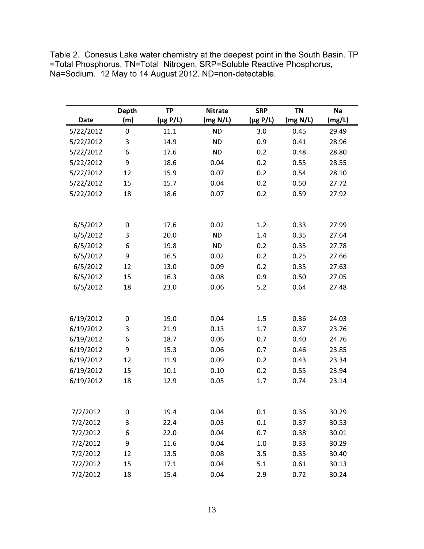Table 2. Conesus Lake water chemistry at the deepest point in the South Basin. TP =Total Phosphorus, TN=Total Nitrogen, SRP=Soluble Reactive Phosphorus, Na=Sodium. 12 May to 14 August 2012. ND=non-detectable.

|             | <b>Depth</b> | <b>TP</b>     | <b>Nitrate</b>    | <b>SRP</b>    | <b>TN</b> | Na     |
|-------------|--------------|---------------|-------------------|---------------|-----------|--------|
| <b>Date</b> | (m)          | $(\mu g P/L)$ | (mg N/L)          | $(\mu g P/L)$ | (mg N/L)  | (mg/L) |
| 5/22/2012   | $\pmb{0}$    | 11.1          | <b>ND</b>         | 3.0           | 0.45      | 29.49  |
| 5/22/2012   | 3            | 14.9          | <b>ND</b>         | 0.9           | 0.41      | 28.96  |
| 5/22/2012   | 6            | 17.6          | <b>ND</b>         | 0.2           | 0.48      | 28.80  |
| 5/22/2012   | 9            | 18.6          | 0.04              | 0.2           | 0.55      | 28.55  |
| 5/22/2012   | 12           | 15.9          | 0.07              | 0.2           | 0.54      | 28.10  |
| 5/22/2012   | 15           | 15.7          | 0.04              | 0.2           | 0.50      | 27.72  |
| 5/22/2012   | 18           | 18.6          | 0.07              | 0.2           | 0.59      | 27.92  |
|             |              |               |                   |               |           |        |
| 6/5/2012    | 0            | 17.6          | 0.02<br><b>ND</b> | 1.2           | 0.33      | 27.99  |
| 6/5/2012    | 3            | 20.0          |                   | 1.4           | 0.35      | 27.64  |
| 6/5/2012    | 6            | 19.8          | <b>ND</b>         | 0.2           | 0.35      | 27.78  |
| 6/5/2012    | 9            | 16.5          | 0.02              | 0.2           | 0.25      | 27.66  |
| 6/5/2012    | 12           | 13.0          | 0.09              | 0.2           | 0.35      | 27.63  |
| 6/5/2012    | 15           | 16.3          | 0.08              | 0.9           | 0.50      | 27.05  |
| 6/5/2012    | 18           | 23.0          | 0.06              | 5.2           | 0.64      | 27.48  |
|             |              |               |                   |               |           |        |
| 6/19/2012   | $\pmb{0}$    | 19.0          | 0.04              | 1.5           | 0.36      | 24.03  |
| 6/19/2012   | 3            | 21.9          | 0.13              | 1.7           | 0.37      | 23.76  |
| 6/19/2012   | 6            | 18.7          | 0.06              | 0.7           | 0.40      | 24.76  |
| 6/19/2012   | 9            | 15.3          | 0.06              | 0.7           | 0.46      | 23.85  |
| 6/19/2012   | 12           | 11.9          | 0.09              | 0.2           | 0.43      | 23.34  |
| 6/19/2012   | 15           | 10.1          | 0.10              | 0.2           | 0.55      | 23.94  |
| 6/19/2012   | 18           | 12.9          | 0.05              | 1.7           | 0.74      | 23.14  |
|             |              |               |                   |               |           |        |
| 7/2/2012    | 0            | 19.4          | 0.04              | 0.1           | 0.36      | 30.29  |
| 7/2/2012    | 3            | 22.4          | 0.03              | 0.1           | 0.37      | 30.53  |
| 7/2/2012    | 6            | 22.0          | 0.04              | 0.7           | 0.38      | 30.01  |
| 7/2/2012    | 9            | 11.6          | 0.04              | 1.0           | 0.33      | 30.29  |
| 7/2/2012    | 12           | 13.5          | 0.08              | 3.5           | 0.35      | 30.40  |
| 7/2/2012    | 15           | 17.1          | 0.04              | 5.1           | 0.61      | 30.13  |
| 7/2/2012    | 18           | 15.4          | 0.04              | 2.9           | 0.72      | 30.24  |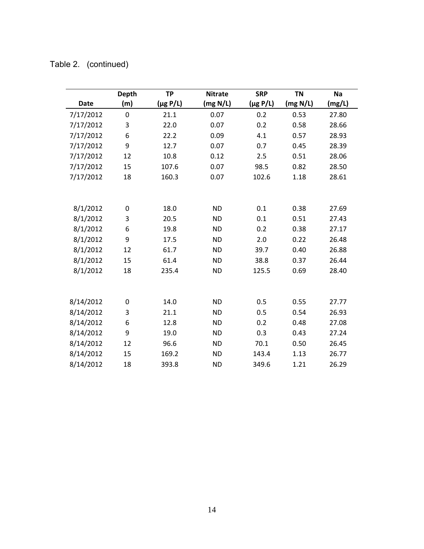|  | Table 2. (continued) |
|--|----------------------|
|--|----------------------|

|             | <b>Depth</b> | <b>TP</b> | <b>Nitrate</b> | <b>SRP</b>    | <b>TN</b> | <b>Na</b> |
|-------------|--------------|-----------|----------------|---------------|-----------|-----------|
| <b>Date</b> | (m)          | (µg P/L)  | (mg N/L)       | $(\mu g P/L)$ | (mg N/L)  | (mg/L)    |
| 7/17/2012   | $\mathbf 0$  | 21.1      | 0.07           | 0.2           | 0.53      | 27.80     |
| 7/17/2012   | 3            | 22.0      | 0.07           | 0.2           | 0.58      | 28.66     |
| 7/17/2012   | 6            | 22.2      | 0.09           | 4.1           | 0.57      | 28.93     |
| 7/17/2012   | 9            | 12.7      | 0.07           | 0.7           | 0.45      | 28.39     |
| 7/17/2012   | 12           | 10.8      | 0.12           | 2.5           | 0.51      | 28.06     |
| 7/17/2012   | 15           | 107.6     | 0.07           | 98.5          | 0.82      | 28.50     |
| 7/17/2012   | 18           | 160.3     | 0.07           | 102.6         | 1.18      | 28.61     |
|             |              |           |                |               |           |           |
| 8/1/2012    | 0            | 18.0      | <b>ND</b>      | 0.1           | 0.38      | 27.69     |
| 8/1/2012    | 3            | 20.5      | <b>ND</b>      | 0.1           | 0.51      | 27.43     |
| 8/1/2012    | 6            | 19.8      | <b>ND</b>      | 0.2           | 0.38      | 27.17     |
| 8/1/2012    | 9            | 17.5      | <b>ND</b>      | 2.0           | 0.22      | 26.48     |
| 8/1/2012    | 12           | 61.7      | <b>ND</b>      | 39.7          | 0.40      | 26.88     |
| 8/1/2012    | 15           | 61.4      | <b>ND</b>      | 38.8          | 0.37      | 26.44     |
| 8/1/2012    | 18           | 235.4     | <b>ND</b>      | 125.5         | 0.69      | 28.40     |
|             |              |           |                |               |           |           |
|             |              |           |                |               |           |           |
| 8/14/2012   | 0            | 14.0      | <b>ND</b>      | 0.5           | 0.55      | 27.77     |
| 8/14/2012   | 3            | 21.1      | <b>ND</b>      | 0.5           | 0.54      | 26.93     |
| 8/14/2012   | 6            | 12.8      | <b>ND</b>      | 0.2           | 0.48      | 27.08     |
| 8/14/2012   | 9            | 19.0      | <b>ND</b>      | 0.3           | 0.43      | 27.24     |
| 8/14/2012   | 12           | 96.6      | <b>ND</b>      | 70.1          | 0.50      | 26.45     |
| 8/14/2012   | 15           | 169.2     | <b>ND</b>      | 143.4         | 1.13      | 26.77     |
| 8/14/2012   | 18           | 393.8     | <b>ND</b>      | 349.6         | 1.21      | 26.29     |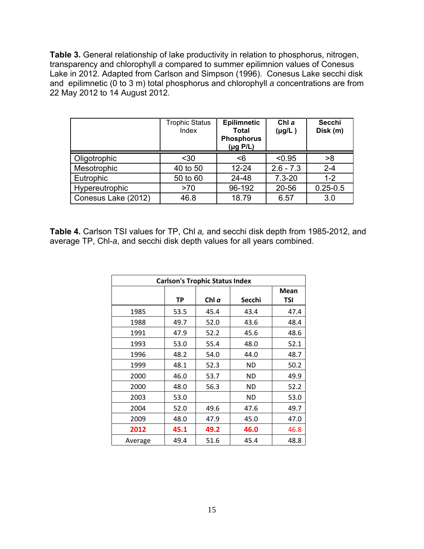**Table 3.** General relationship of lake productivity in relation to phosphorus, nitrogen, transparency and chlorophyll *a* compared to summer epilimnion values of Conesus Lake in 2012. Adapted from Carlson and Simpson (1996). Conesus Lake secchi disk and epilimnetic (0 to 3 m) total phosphorus and chlorophyll *a* concentrations are from 22 May 2012 to 14 August 2012.

|                     | <b>Trophic Status</b><br>Index | <b>Epilimnetic</b><br><b>Total</b><br><b>Phosphorus</b><br>$(\mu g \text{ } P/L)$ | Chl a<br>$(\mu g/L)$ | <b>Secchi</b><br>Disk (m) |
|---------------------|--------------------------------|-----------------------------------------------------------------------------------|----------------------|---------------------------|
| Oligotrophic        | $30$                           | <6                                                                                | < 0.95               | >8                        |
| Mesotrophic         | 40 to 50                       | $12 - 24$                                                                         | $2.6 - 7.3$          | $2 - 4$                   |
| Eutrophic           | 50 to 60                       | 24-48                                                                             | $7.3 - 20$           | $1 - 2$                   |
| Hypereutrophic      | >70                            | 96-192                                                                            | 20-56                | $0.25 - 0.5$              |
| Conesus Lake (2012) | 46.8                           | 18.79                                                                             | 6.57                 | 3.0                       |

**Table 4.** Carlson TSI values for TP, Chl *a,* and secchi disk depth from 1985-2012, and average TP, Chl-*a*, and secchi disk depth values for all years combined.

| <b>Carlson's Trophic Status Index</b> |      |         |           |             |  |  |  |  |
|---------------------------------------|------|---------|-----------|-------------|--|--|--|--|
|                                       | ТP   | Chl $a$ | Secchi    | Mean<br>TSI |  |  |  |  |
| 1985                                  | 53.5 | 45.4    | 43.4      | 47.4        |  |  |  |  |
| 1988                                  | 49.7 | 52.0    | 43.6      | 48.4        |  |  |  |  |
| 1991                                  | 47.9 | 52.2    | 45.6      | 48.6        |  |  |  |  |
| 1993                                  | 53.0 | 55.4    | 48.0      | 52.1        |  |  |  |  |
| 1996                                  | 48.2 | 54.0    | 44.0      | 48.7        |  |  |  |  |
| 1999                                  | 48.1 | 52.3    | <b>ND</b> | 50.2        |  |  |  |  |
| 2000                                  | 46.0 | 53.7    | ND        | 49.9        |  |  |  |  |
| 2000                                  | 48.0 | 56.3    | <b>ND</b> | 52.2        |  |  |  |  |
| 2003                                  | 53.0 |         | <b>ND</b> | 53.0        |  |  |  |  |
| 2004                                  | 52.0 | 49.6    | 47.6      | 49.7        |  |  |  |  |
| 2009                                  | 48.0 | 47.9    | 45.0      | 47.0        |  |  |  |  |
| 2012                                  | 45.1 | 49.2    | 46.0      | 46.8        |  |  |  |  |
| Average                               | 49.4 | 51.6    | 45.4      | 48.8        |  |  |  |  |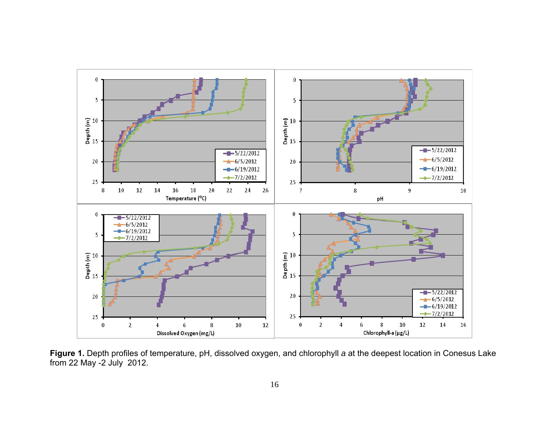

**Figure 1.** Depth profiles of temperature, pH, dissolved oxygen, and chlorophyll *a* at the deepest location in Conesus Lake from 22 May -2 July 2012.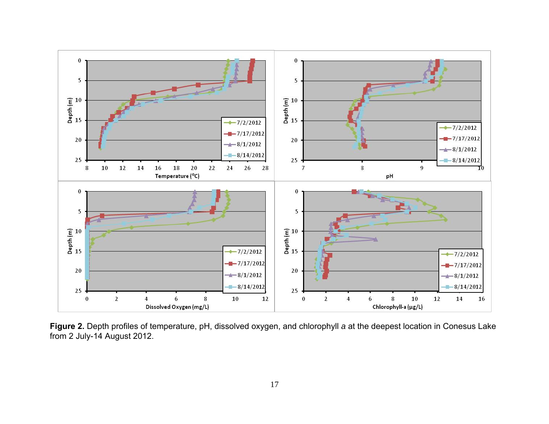

**Figure 2.** Depth profiles of temperature, pH, dissolved oxygen, and chlorophyll *a* at the deepest location in Conesus Lake from 2 July-14 August 2012.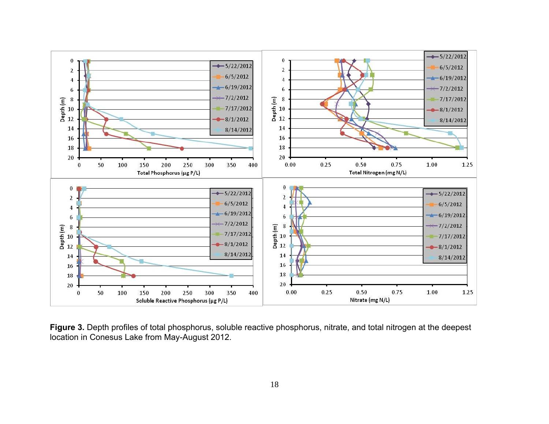

**Figure 3.** Depth profiles of total phosphorus, soluble reactive phosphorus, nitrate, and total nitrogen at the deepest location in Conesus Lake from May-August 2012.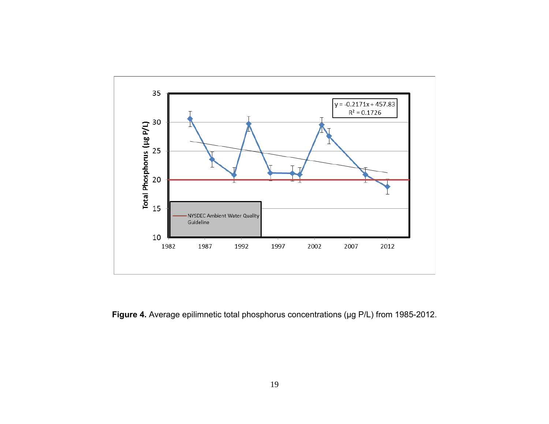

**Figure 4.** Average epilimnetic total phosphorus concentrations (µg P/L) from 1985-2012.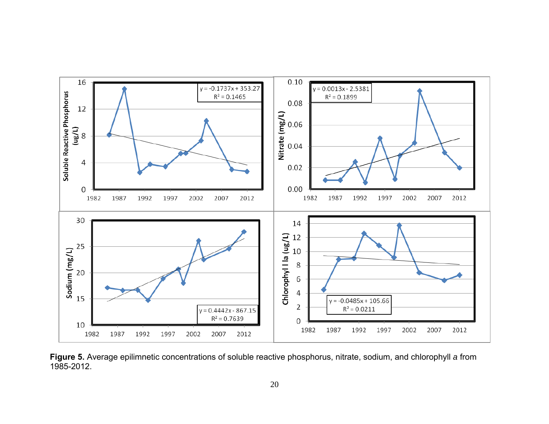

**Figure 5.** Average epilimnetic concentrations of soluble reactive phosphorus, nitrate, sodium, and chlorophyll *a* from 1985-2012.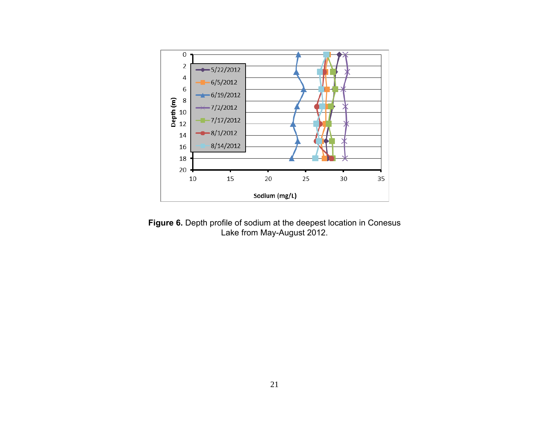

**Figure 6.** Depth profile of sodium at the deepest location in Conesus Lake from May-August 2012.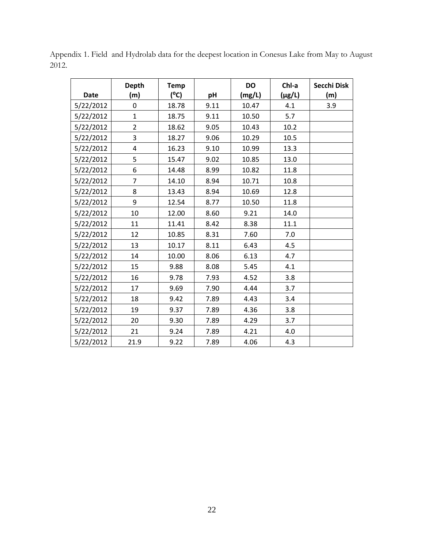| <b>Date</b> | <b>Depth</b><br>(m) | <b>Temp</b><br>$(^{\circ}C)$ | pH   | <b>DO</b><br>(mg/L) | Chl-a<br>$(\mu g/L)$ | Secchi Disk<br>(m) |
|-------------|---------------------|------------------------------|------|---------------------|----------------------|--------------------|
| 5/22/2012   | 0                   | 18.78                        | 9.11 | 10.47               | 4.1                  | 3.9                |
| 5/22/2012   | $\mathbf{1}$        | 18.75                        | 9.11 | 10.50               | 5.7                  |                    |
| 5/22/2012   | $\overline{2}$      | 18.62                        | 9.05 | 10.43               | 10.2                 |                    |
| 5/22/2012   | 3                   | 18.27                        | 9.06 | 10.29               | 10.5                 |                    |
| 5/22/2012   | 4                   | 16.23                        | 9.10 | 10.99               | 13.3                 |                    |
| 5/22/2012   | 5                   | 15.47                        | 9.02 | 10.85               | 13.0                 |                    |
| 5/22/2012   | 6                   | 14.48                        | 8.99 | 10.82               | 11.8                 |                    |
| 5/22/2012   | $\overline{7}$      | 14.10                        | 8.94 | 10.71               | 10.8                 |                    |
| 5/22/2012   | 8                   | 13.43                        | 8.94 | 10.69               | 12.8                 |                    |
| 5/22/2012   | 9                   | 12.54                        | 8.77 | 10.50               | 11.8                 |                    |
| 5/22/2012   | 10                  | 12.00                        | 8.60 | 9.21                | 14.0                 |                    |
| 5/22/2012   | 11                  | 11.41                        | 8.42 | 8.38                | 11.1                 |                    |
| 5/22/2012   | 12                  | 10.85                        | 8.31 | 7.60                | 7.0                  |                    |
| 5/22/2012   | 13                  | 10.17                        | 8.11 | 6.43                | 4.5                  |                    |
| 5/22/2012   | 14                  | 10.00                        | 8.06 | 6.13                | 4.7                  |                    |
| 5/22/2012   | 15                  | 9.88                         | 8.08 | 5.45                | 4.1                  |                    |
| 5/22/2012   | 16                  | 9.78                         | 7.93 | 4.52                | 3.8                  |                    |
| 5/22/2012   | 17                  | 9.69                         | 7.90 | 4.44                | 3.7                  |                    |
| 5/22/2012   | 18                  | 9.42                         | 7.89 | 4.43                | 3.4                  |                    |
| 5/22/2012   | 19                  | 9.37                         | 7.89 | 4.36                | 3.8                  |                    |
| 5/22/2012   | 20                  | 9.30                         | 7.89 | 4.29                | 3.7                  |                    |
| 5/22/2012   | 21                  | 9.24                         | 7.89 | 4.21                | 4.0                  |                    |
| 5/22/2012   | 21.9                | 9.22                         | 7.89 | 4.06                | 4.3                  |                    |

Appendix 1. Field and Hydrolab data for the deepest location in Conesus Lake from May to August 2012.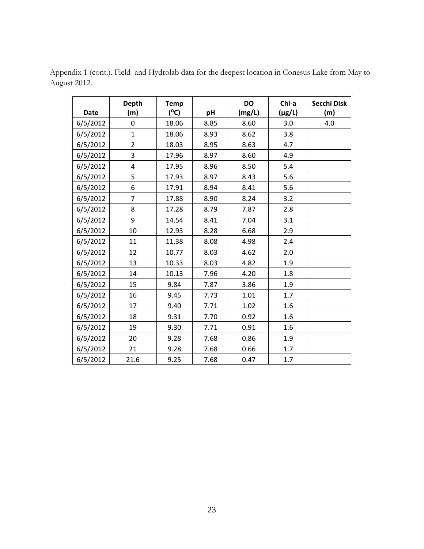|             | <b>Depth</b>            | <b>Temp</b>   |      | <b>DO</b> | Chl-a       | Secchi Disk |
|-------------|-------------------------|---------------|------|-----------|-------------|-------------|
| <b>Date</b> | (m)                     | $(^{\circ}C)$ | pH   | (mg/L)    | $(\mu g/L)$ | (m)         |
| 6/5/2012    | 0                       | 18.06         | 8.85 | 8.60      | 3.0         | 4.0         |
| 6/5/2012    | $\overline{1}$          | 18.06         | 8.93 | 8.62      | 3.8         |             |
| 6/5/2012    | $\overline{2}$          | 18.03         | 8.95 | 8.63      | 4.7         |             |
| 6/5/2012    | 3                       | 17.96         | 8.97 | 8.60      | 4.9         |             |
| 6/5/2012    | $\overline{\mathbf{r}}$ | 17.95         | 8.96 | 8.50      | 5.4         |             |
| 6/5/2012    | 5                       | 17.93         | 8.97 | 8.43      | 5.6         |             |
| 6/5/2012    | 6                       | 17.91         | 8.94 | 8.41      | 5.6         |             |
| 6/5/2012    | $\overline{7}$          | 17.88         | 8.90 | 8.24      | 3.2         |             |
| 6/5/2012    | 8                       | 17.28         | 8.79 | 7.87      | 2.8         |             |
| 6/5/2012    | 9                       | 14.54         | 8.41 | 7.04      | 3.1         |             |
| 6/5/2012    | 10                      | 12.93         | 8.28 | 6.68      | 2.9         |             |
| 6/5/2012    | 11                      | 11.38         | 8.08 | 4.98      | 2.4         |             |
| 6/5/2012    | 12                      | 10.77         | 8.03 | 4.62      | 2.0         |             |
| 6/5/2012    | 13                      | 10.33         | 8.03 | 4.82      | 1.9         |             |
| 6/5/2012    | 14                      | 10.13         | 7.96 | 4.20      | 1.8         |             |
| 6/5/2012    | 15                      | 9.84          | 7.87 | 3.86      | 1.9         |             |
| 6/5/2012    | 16                      | 9.45          | 7.73 | 1.01      | 1.7         |             |
| 6/5/2012    | 17                      | 9.40          | 7.71 | 1.02      | 1.6         |             |
| 6/5/2012    | 18                      | 9.31          | 7.70 | 0.92      | 1.6         |             |
| 6/5/2012    | 19                      | 9.30          | 7.71 | 0.91      | 1.6         |             |
| 6/5/2012    | 20                      | 9.28          | 7.68 | 0.86      | 1.9         |             |
| 6/5/2012    | 21                      | 9.28          | 7.68 | 0.66      | 1.7         |             |
| 6/5/2012    | 21.6                    | 9.25          | 7.68 | 0.47      | 1.7         |             |

Appendix 1 (cont.). Field and Hydrolab data for the deepest location in Conesus Lake from May to August 2012.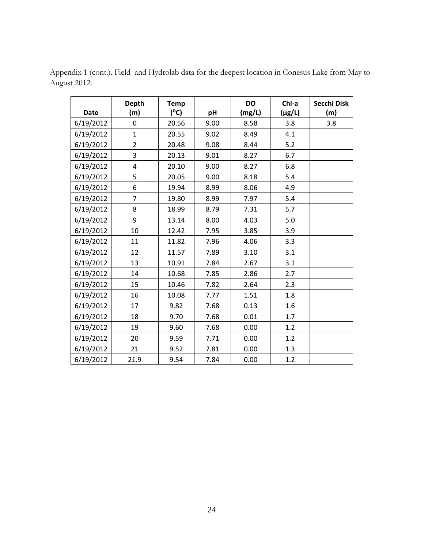| <b>Date</b> | <b>Depth</b><br>(m)     | <b>Temp</b><br>$(^{\circ}C)$ | pH   | DO<br>(mg/L) | Chl-a<br>$(\mu g/L)$ | Secchi Disk<br>(m) |
|-------------|-------------------------|------------------------------|------|--------------|----------------------|--------------------|
| 6/19/2012   | 0                       | 20.56                        | 9.00 | 8.58         | 3.8                  | 3.8                |
| 6/19/2012   | $\mathbf{1}$            | 20.55                        | 9.02 | 8.49         | 4.1                  |                    |
| 6/19/2012   | $\overline{2}$          | 20.48                        | 9.08 | 8.44         | 5.2                  |                    |
| 6/19/2012   | 3                       | 20.13                        | 9.01 | 8.27         | 6.7                  |                    |
| 6/19/2012   | $\overline{\mathbf{4}}$ | 20.10                        | 9.00 | 8.27         | 6.8                  |                    |
| 6/19/2012   | 5                       | 20.05                        | 9.00 | 8.18         | 5.4                  |                    |
| 6/19/2012   | 6                       | 19.94                        | 8.99 | 8.06         | 4.9                  |                    |
| 6/19/2012   | $\overline{7}$          | 19.80                        | 8.99 | 7.97         | 5.4                  |                    |
| 6/19/2012   | 8                       | 18.99                        | 8.79 | 7.31         | 5.7                  |                    |
| 6/19/2012   | 9                       | 13.14                        | 8.00 | 4.03         | 5.0                  |                    |
| 6/19/2012   | 10                      | 12.42                        | 7.95 | 3.85         | 3.9                  |                    |
| 6/19/2012   | 11                      | 11.82                        | 7.96 | 4.06         | 3.3                  |                    |
| 6/19/2012   | 12                      | 11.57                        | 7.89 | 3.10         | 3.1                  |                    |
| 6/19/2012   | 13                      | 10.91                        | 7.84 | 2.67         | 3.1                  |                    |
| 6/19/2012   | 14                      | 10.68                        | 7.85 | 2.86         | 2.7                  |                    |
| 6/19/2012   | 15                      | 10.46                        | 7.82 | 2.64         | 2.3                  |                    |
| 6/19/2012   | 16                      | 10.08                        | 7.77 | 1.51         | 1.8                  |                    |
| 6/19/2012   | 17                      | 9.82                         | 7.68 | 0.13         | 1.6                  |                    |
| 6/19/2012   | 18                      | 9.70                         | 7.68 | 0.01         | 1.7                  |                    |
| 6/19/2012   | 19                      | 9.60                         | 7.68 | 0.00         | 1.2                  |                    |
| 6/19/2012   | 20                      | 9.59                         | 7.71 | 0.00         | 1.2                  |                    |
| 6/19/2012   | 21                      | 9.52                         | 7.81 | 0.00         | 1.3                  |                    |
| 6/19/2012   | 21.9                    | 9.54                         | 7.84 | 0.00         | 1.2                  |                    |

Appendix 1 (cont.). Field and Hydrolab data for the deepest location in Conesus Lake from May to August 2012.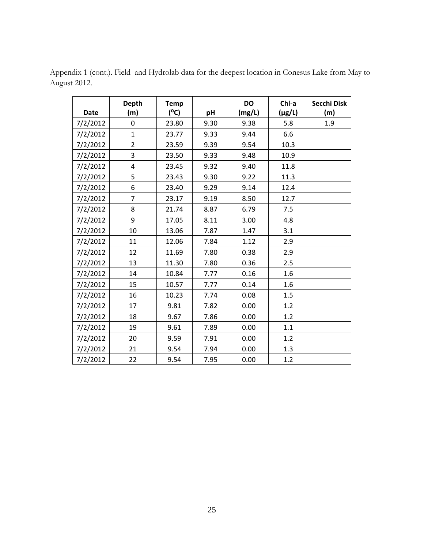|             | <b>Depth</b>            | <b>Temp</b>   |      | <b>DO</b> | Chl-a       | Secchi Disk |
|-------------|-------------------------|---------------|------|-----------|-------------|-------------|
| <b>Date</b> | (m)                     | $(^{\circ}C)$ | pH   | (mg/L)    | $(\mu g/L)$ | (m)         |
| 7/2/2012    | 0                       | 23.80         | 9.30 | 9.38      | 5.8         | 1.9         |
| 7/2/2012    | $\mathbf{1}$            | 23.77         | 9.33 | 9.44      | 6.6         |             |
| 7/2/2012    | $\overline{2}$          | 23.59         | 9.39 | 9.54      | 10.3        |             |
| 7/2/2012    | 3                       | 23.50         | 9.33 | 9.48      | 10.9        |             |
| 7/2/2012    | $\overline{\mathbf{4}}$ | 23.45         | 9.32 | 9.40      | 11.8        |             |
| 7/2/2012    | 5                       | 23.43         | 9.30 | 9.22      | 11.3        |             |
| 7/2/2012    | 6                       | 23.40         | 9.29 | 9.14      | 12.4        |             |
| 7/2/2012    | $\overline{7}$          | 23.17         | 9.19 | 8.50      | 12.7        |             |
| 7/2/2012    | 8                       | 21.74         | 8.87 | 6.79      | 7.5         |             |
| 7/2/2012    | 9                       | 17.05         | 8.11 | 3.00      | 4.8         |             |
| 7/2/2012    | 10                      | 13.06         | 7.87 | 1.47      | 3.1         |             |
| 7/2/2012    | 11                      | 12.06         | 7.84 | 1.12      | 2.9         |             |
| 7/2/2012    | 12                      | 11.69         | 7.80 | 0.38      | 2.9         |             |
| 7/2/2012    | 13                      | 11.30         | 7.80 | 0.36      | 2.5         |             |
| 7/2/2012    | 14                      | 10.84         | 7.77 | 0.16      | 1.6         |             |
| 7/2/2012    | 15                      | 10.57         | 7.77 | 0.14      | 1.6         |             |
| 7/2/2012    | 16                      | 10.23         | 7.74 | 0.08      | 1.5         |             |
| 7/2/2012    | 17                      | 9.81          | 7.82 | 0.00      | 1.2         |             |
| 7/2/2012    | 18                      | 9.67          | 7.86 | 0.00      | 1.2         |             |
| 7/2/2012    | 19                      | 9.61          | 7.89 | 0.00      | 1.1         |             |
| 7/2/2012    | 20                      | 9.59          | 7.91 | 0.00      | 1.2         |             |
| 7/2/2012    | 21                      | 9.54          | 7.94 | 0.00      | 1.3         |             |
| 7/2/2012    | 22                      | 9.54          | 7.95 | 0.00      | 1.2         |             |

Appendix 1 (cont.). Field and Hydrolab data for the deepest location in Conesus Lake from May to August 2012.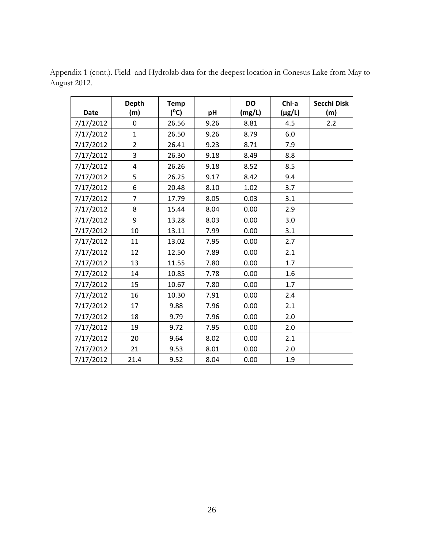| <b>Date</b> | <b>Depth</b><br>(m) | <b>Temp</b><br>$(^{\circ}C)$ | pH   | <b>DO</b><br>(mg/L) | Chl-a<br>$(\mu g/L)$ | Secchi Disk<br>(m) |
|-------------|---------------------|------------------------------|------|---------------------|----------------------|--------------------|
| 7/17/2012   | 0                   | 26.56                        | 9.26 | 8.81                | 4.5                  | 2.2                |
| 7/17/2012   | $\mathbf{1}$        | 26.50                        | 9.26 | 8.79                | 6.0                  |                    |
| 7/17/2012   | $\overline{2}$      | 26.41                        | 9.23 | 8.71                | 7.9                  |                    |
| 7/17/2012   | 3                   | 26.30                        | 9.18 | 8.49                | 8.8                  |                    |
| 7/17/2012   | $\overline{4}$      | 26.26                        | 9.18 | 8.52                | 8.5                  |                    |
| 7/17/2012   | 5                   | 26.25                        | 9.17 | 8.42                | 9.4                  |                    |
| 7/17/2012   | 6                   | 20.48                        | 8.10 | 1.02                | 3.7                  |                    |
| 7/17/2012   | $\overline{7}$      | 17.79                        | 8.05 | 0.03                | 3.1                  |                    |
| 7/17/2012   | 8                   | 15.44                        | 8.04 | 0.00                | 2.9                  |                    |
| 7/17/2012   | 9                   | 13.28                        | 8.03 | 0.00                | 3.0                  |                    |
| 7/17/2012   | 10                  | 13.11                        | 7.99 | 0.00                | 3.1                  |                    |
| 7/17/2012   | 11                  | 13.02                        | 7.95 | 0.00                | 2.7                  |                    |
| 7/17/2012   | 12                  | 12.50                        | 7.89 | 0.00                | 2.1                  |                    |
| 7/17/2012   | 13                  | 11.55                        | 7.80 | 0.00                | 1.7                  |                    |
| 7/17/2012   | 14                  | 10.85                        | 7.78 | 0.00                | 1.6                  |                    |
| 7/17/2012   | 15                  | 10.67                        | 7.80 | 0.00                | 1.7                  |                    |
| 7/17/2012   | 16                  | 10.30                        | 7.91 | 0.00                | 2.4                  |                    |
| 7/17/2012   | 17                  | 9.88                         | 7.96 | 0.00                | 2.1                  |                    |
| 7/17/2012   | 18                  | 9.79                         | 7.96 | 0.00                | 2.0                  |                    |
| 7/17/2012   | 19                  | 9.72                         | 7.95 | 0.00                | 2.0                  |                    |
| 7/17/2012   | 20                  | 9.64                         | 8.02 | 0.00                | 2.1                  |                    |
| 7/17/2012   | 21                  | 9.53                         | 8.01 | 0.00                | 2.0                  |                    |
| 7/17/2012   | 21.4                | 9.52                         | 8.04 | 0.00                | 1.9                  |                    |

Appendix 1 (cont.). Field and Hydrolab data for the deepest location in Conesus Lake from May to August 2012.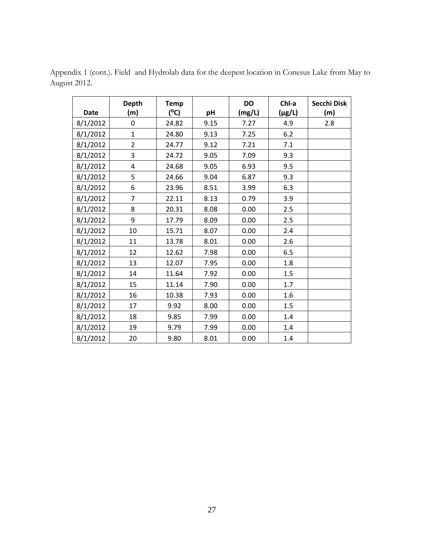| <b>Date</b> | <b>Depth</b><br>(m) | <b>Temp</b><br>(°C) | pH   | <b>DO</b><br>(mg/L) | Chl-a<br>$(\mu g/L)$ | Secchi Disk<br>(m) |
|-------------|---------------------|---------------------|------|---------------------|----------------------|--------------------|
| 8/1/2012    | 0                   | 24.82               | 9.15 | 7.27                | 4.9                  | 2.8                |
| 8/1/2012    | $\mathbf{1}$        | 24.80               | 9.13 | 7.25                | 6.2                  |                    |
| 8/1/2012    | $\overline{2}$      | 24.77               | 9.12 | 7.21                | 7.1                  |                    |
| 8/1/2012    | 3                   | 24.72               | 9.05 | 7.09                | 9.3                  |                    |
| 8/1/2012    | 4                   | 24.68               | 9.05 | 6.93                | 9.5                  |                    |
| 8/1/2012    | 5                   | 24.66               | 9.04 | 6.87                | 9.3                  |                    |
| 8/1/2012    | 6                   | 23.96               | 8.51 | 3.99                | 6.3                  |                    |
| 8/1/2012    | $\overline{7}$      | 22.11               | 8.13 | 0.79                | 3.9                  |                    |
| 8/1/2012    | 8                   | 20.31               | 8.08 | 0.00                | 2.5                  |                    |
| 8/1/2012    | 9                   | 17.79               | 8.09 | 0.00                | 2.5                  |                    |
| 8/1/2012    | 10                  | 15.71               | 8.07 | 0.00                | 2.4                  |                    |
| 8/1/2012    | 11                  | 13.78               | 8.01 | 0.00                | 2.6                  |                    |
| 8/1/2012    | 12                  | 12.62               | 7.98 | 0.00                | 6.5                  |                    |
| 8/1/2012    | 13                  | 12.07               | 7.95 | 0.00                | 1.8                  |                    |
| 8/1/2012    | 14                  | 11.64               | 7.92 | 0.00                | 1.5                  |                    |
| 8/1/2012    | 15                  | 11.14               | 7.90 | 0.00                | 1.7                  |                    |
| 8/1/2012    | 16                  | 10.38               | 7.93 | 0.00                | 1.6                  |                    |
| 8/1/2012    | 17                  | 9.92                | 8.00 | 0.00                | 1.5                  |                    |
| 8/1/2012    | 18                  | 9.85                | 7.99 | 0.00                | 1.4                  |                    |
| 8/1/2012    | 19                  | 9.79                | 7.99 | 0.00                | 1.4                  |                    |
| 8/1/2012    | 20                  | 9.80                | 8.01 | 0.00                | 1.4                  |                    |

Appendix 1 (cont.). Field and Hydrolab data for the deepest location in Conesus Lake from May to August 2012.